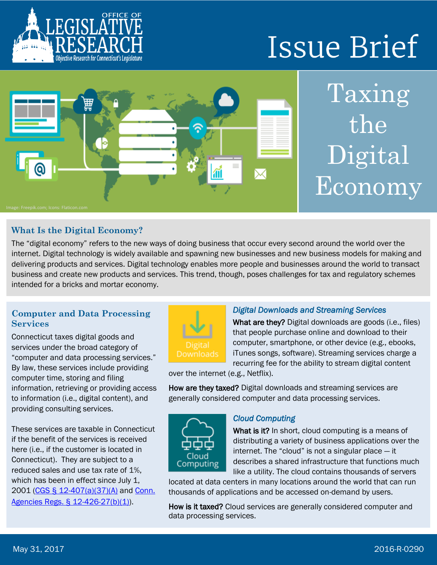

# **Issue Brief**



## Taxing the Digital Economy

#### **What Is the Digital Economy?**

The "digital economy" refers to the new ways of doing business that occur every second around the world over the internet. Digital technology is widely available and spawning new businesses and new business models for making and delivering products and services. Digital technology enables more people and businesses around the world to transact business and create new products and services. This trend, though, poses challenges for tax and regulatory schemes intended for a bricks and mortar economy.

#### **Computer and Data Processing Services**

Connecticut taxes digital goods and services under the broad category of "computer and data processing services." By law, these services include providing computer time, storing and filing information, retrieving or providing access to information (i.e., digital content), and providing consulting services.

These services are taxable in Connecticut if the benefit of the services is received here (i.e., if the customer is located in Connecticut). They are subject to a reduced sales and use tax rate of 1%, which has been in effect since July 1, 2001 [\(CGS § 12-407\(a\)\(37\)\(A\)](https://www.cga.ct.gov/current/pub/chap_219.htm#sec_12-407) and Conn. [Agencies Regs. § 12-426-27\(b\)\(1\)\)](https://eregulations.ct.gov/eRegsPortal/Browse/RCSA/%7BF3019650-C4DB-4F80-AC42-B00A0CDD41FF%7D).



#### *Digital Downloads and Streaming Services*

What are they? Digital downloads are goods (i.e., files) that people purchase online and download to their computer, smartphone, or other device (e.g., ebooks, iTunes songs, software). Streaming services charge a recurring fee for the ability to stream digital content

over the internet (e.g., Netflix).

How are they taxed? Digital downloads and streaming services are generally considered computer and data processing services.



#### *Cloud Computing*

What is it? In short, cloud computing is a means of distributing a variety of business applications over the internet. The "cloud" is not a singular place — it describes a shared infrastructure that functions much like a utility. The cloud contains thousands of servers

located at data centers in many locations around the world that can run thousands of applications and be accessed on-demand by users.

How is it taxed? Cloud services are generally considered computer and data processing services.